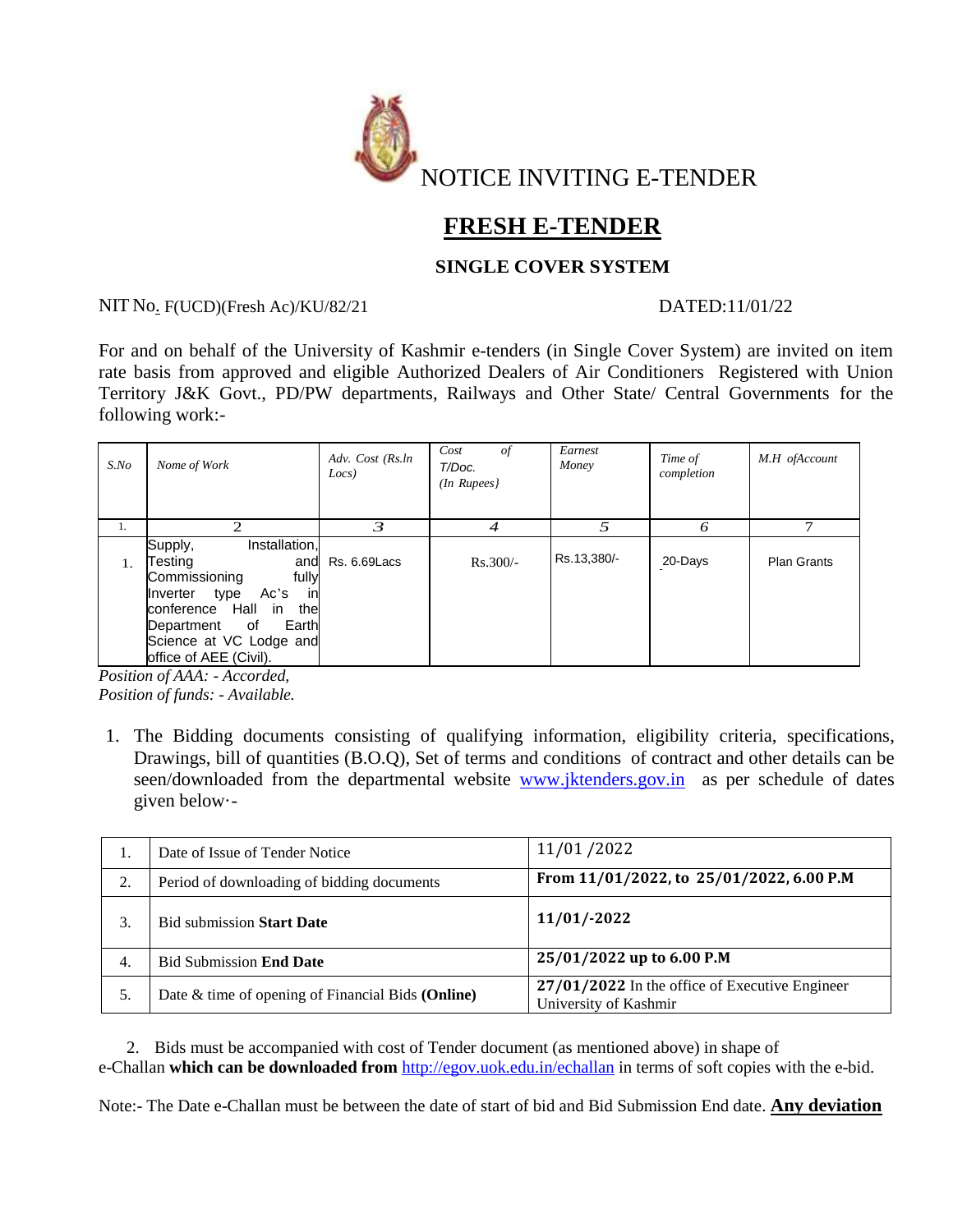

# **FRESH E-TENDER**

## **SINGLE COVER SYSTEM**

## NIT No. F(UCD)(Fresh Ac)/KU/82/21 DATED:11/01/22

For and on behalf of the University of Kashmir e-tenders (in Single Cover System) are invited on item rate basis from approved and eligible Authorized Dealers of Air Conditioners Registered with Union Territory J&K Govt., PD/PW departments, Railways and Other State/ Central Governments for the following work:-

| $S$ .No | Nome of Work                                                                                                                                                                                                             | Adv. Cost (Rs.ln<br>Locs) | Cost<br>of<br>T/Doc.<br>$(In$ Rupees $)$ | Earnest<br>Money | Time of<br>completion | M.H ofAccount      |
|---------|--------------------------------------------------------------------------------------------------------------------------------------------------------------------------------------------------------------------------|---------------------------|------------------------------------------|------------------|-----------------------|--------------------|
| 1.      | $\mathcal{D}_{\mathcal{L}}$                                                                                                                                                                                              | 3                         | 4                                        | 5                | ω                     | ⇁                  |
| 1.      | Installation,<br>Supply,<br>Testing<br>and<br>Commissioning<br>fully<br>in<br>Ac's<br>type<br>Inverter<br>conference Hall<br>the<br>in<br>Earth<br>of<br>Department<br>Science at VC Lodge and<br>office of AEE (Civil). | Rs. 6.69 Lacs             | $Rs.300/-$                               | Rs.13,380/-      | 20-Days               | <b>Plan Grants</b> |

*Position of AAA: - Accorded, Position of funds: - Available.*

1. The Bidding documents consisting of qualifying information, eligibility criteria, specifications, Drawings, bill of quantities (B.O.Q), Set of terms and conditions of contract and other details can be seen/downloaded from the departmental website [www.jktenders.gov.in](http://www.jktenders.gov.in/) as per schedule of dates given below·-

| ı. | Date of Issue of Tender Notice                    | 11/01/2022                                                                |
|----|---------------------------------------------------|---------------------------------------------------------------------------|
| 2. | Period of downloading of bidding documents        | From 11/01/2022, to 25/01/2022, 6.00 P.M                                  |
|    | <b>Bid submission Start Date</b>                  | $11/01/-2022$                                                             |
| 4. | <b>Bid Submission End Date</b>                    | 25/01/2022 up to 6.00 P.M                                                 |
| 5. | Date & time of opening of Financial Bids (Online) | $27/01/2022$ In the office of Executive Engineer<br>University of Kashmir |

2. Bids must be accompanied with cost of Tender document (as mentioned above) in shape of e-Challan **which can be downloaded from** <http://egov.uok.edu.in/echallan> in terms of soft copies with the e-bid.

Note:- The Date e-Challan must be between the date of start of bid and Bid Submission End date. **Any deviation**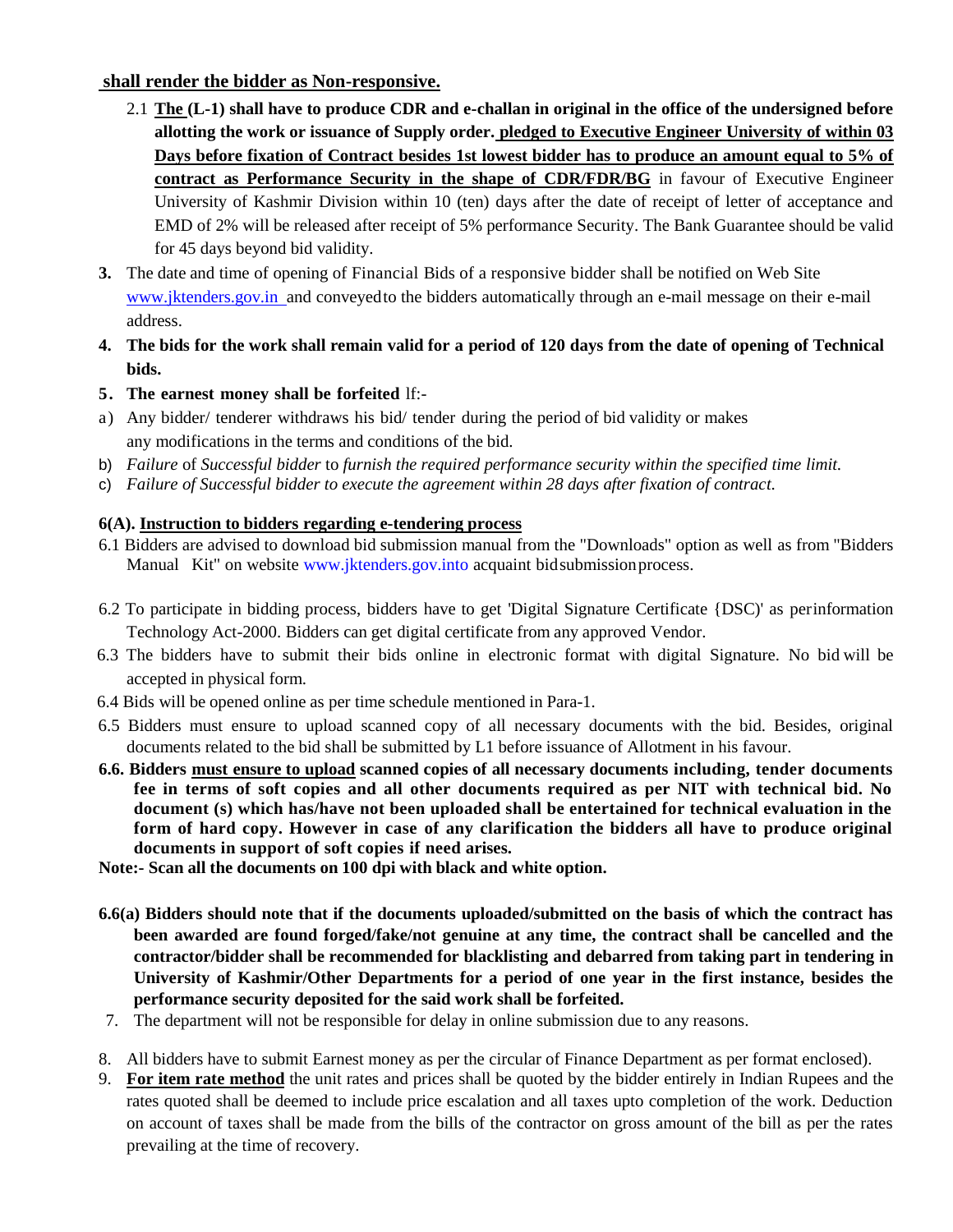## **shall render the bidder as Non-responsive.**

- 2.1 **The (L-1) shall have to produce CDR and e-challan in original in the office of the undersigned before allotting the work or issuance of Supply order. pledged to Executive Engineer University of within 03 Days before fixation of Contract besides 1st lowest bidder has to produce an amount equal to 5% of contract as Performance Security in the shape of CDR/FDR/BG** in favour of Executive Engineer University of Kashmir Division within 10 (ten) days after the date of receipt of letter of acceptance and EMD of 2% will be released after receipt of 5% performance Security. The Bank Guarantee should be valid for 45 days beyond bid validity.
- **3.** The date and time of opening of Financial Bids of a responsive bidder shall be notified on Web Site www.jktenders.gov.in and conveyed to the bidders automatically through an e-mail message on their e-mail address.
- 4. The bids for the work shall remain valid for a period of 120 days from the date of opening of Technical **bids.**
- **5. The earnest money shall be forfeited** lf:-
- a) Any bidder/ tenderer withdraws his bid/ tender during the period of bid validity or makes any modifications in the terms and conditions of the bid.
- b) *Failure* of *Successful bidder* to *furnish the required performance security within the specified time limit.*
- c) *Failure of Successful bidder to execute the agreement within 28 days after fixation of contract.*

## **6(A). Instruction to bidders regarding e-tendering process**

- 6.1 Bidders are advised to download bid submission manual from the "Downloads" option as well as from "Bidders Manual Kit" on website [www.jktenders.gov.into](http://www.jktenders.gov.into/) acquaint bid submission process.
- 6.2 To participate in bidding process, bidders have to get 'Digital Signature Certificate {DSC)' as perinformation Technology Act-2000. Bidders can get digital certificate from any approved Vendor.
- 6.3 The bidders have to submit their bids online in electronic format with digital Signature. No bid will be accepted in physical form.
- 6.4 Bids will be opened online as per time schedule mentioned in Para-1.
- 6.5 Bidders must ensure to upload scanned copy of all necessary documents with the bid. Besides, original documents related to the bid shall be submitted by L1 before issuance of Allotment in his favour.
- **6.6. Bidders must ensure to upload scanned copies of all necessary documents including, tender documents fee in terms of soft copies and all other documents required as per NIT with technical bid. No document (s) which has/have not been uploaded shall be entertained for technical evaluation in the form of hard copy. However in case of any clarification the bidders all have to produce original documents in support of soft copies if need arises.**

**Note:- Scan all the documents on 100 dpi with black and white option.**

- **6.6(a) Bidders should note that if the documents uploaded/submitted on the basis of which the contract has been awarded are found forged/fake/not genuine at any time, the contract shall be cancelled and the contractor/bidder shall be recommended for blacklisting and debarred from taking part in tendering in University of Kashmir/Other Departments for a period of one year in the first instance, besides the performance security deposited for the said work shall be forfeited.**
- 7. The department will not be responsible for delay in online submission due to any reasons.
- 8. All bidders have to submit Earnest money as per the circular of Finance Department as per format enclosed).
- 9. **For item rate method** the unit rates and prices shall be quoted by the bidder entirely in Indian Rupees and the rates quoted shall be deemed to include price escalation and all taxes upto completion of the work. Deduction on account of taxes shall be made from the bills of the contractor on gross amount of the bill as per the rates prevailing at the time of recovery.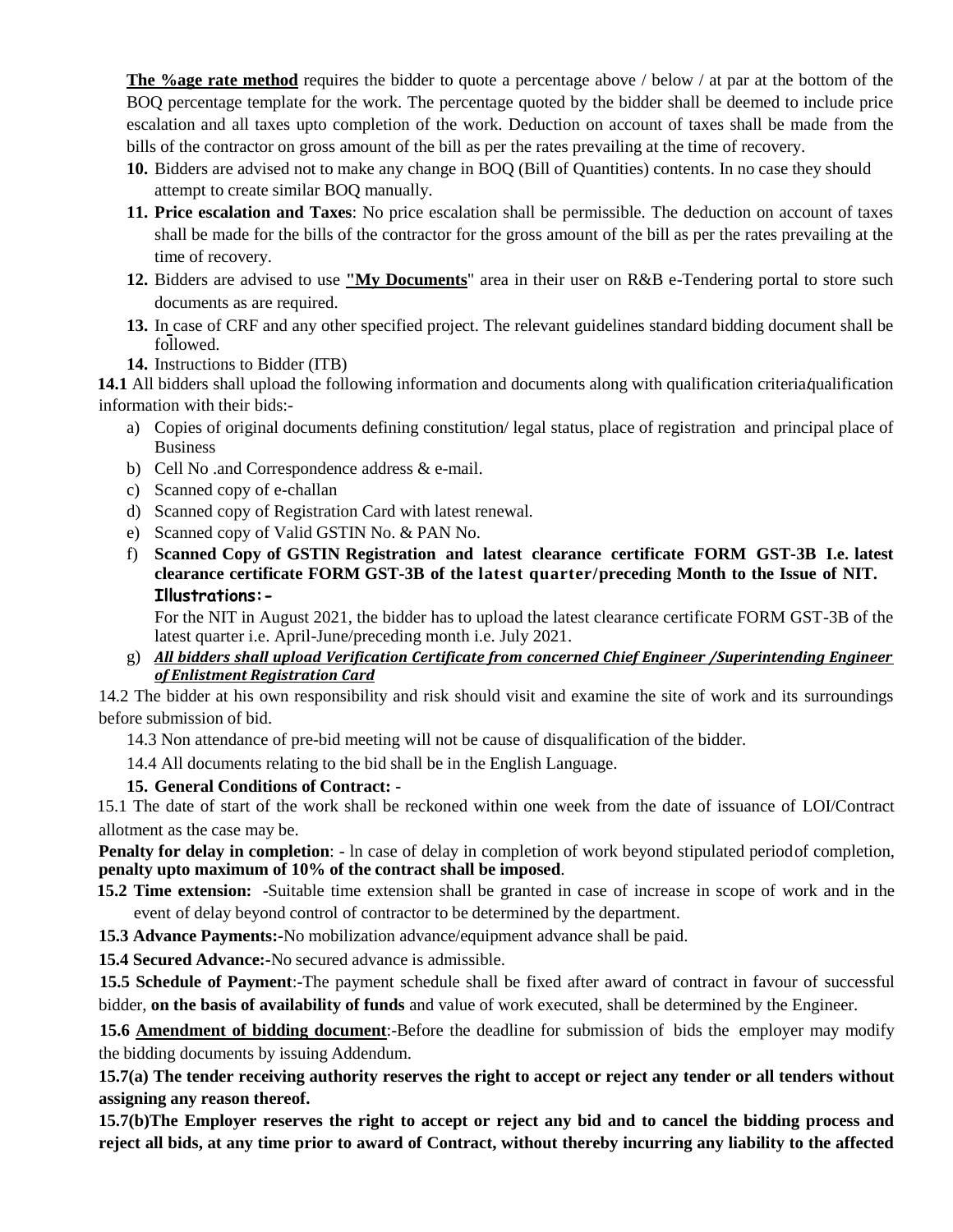**The %age rate method** requires the bidder to quote a percentage above / below / at par at the bottom of the BOQ percentage template for the work. The percentage quoted by the bidder shall be deemed to include price escalation and all taxes upto completion of the work. Deduction on account of taxes shall be made from the bills of the contractor on gross amount of the bill as per the rates prevailing at the time of recovery.

- **10.** Bidders are advised not to make any change in BOQ (Bill of Quantities) contents. In no case they should attempt to create similar BOQ manually.
- **11. Price escalation and Taxes**: No price escalation shall be permissible. The deduction on account of taxes shall be made for the bills of the contractor for the gross amount of the bill as per the rates prevailing at the time of recovery.
- **12.** Bidders are advised to use **"My Documents**" area in their user on R&B e-Tendering portal to store such documents as are required.
- **13.** In case of CRF and any other specified project. The relevant guidelines standard bidding document shall be followed.
- **14.** Instructions to Bidder (ITB)

14.1 All bidders shall upload the following information and documents along with qualification criteria/qualification information with their bids:-

- a) Copies of original documents defining constitution/ legal status, place of registration and principal place of Business
- b) Cell No .and Correspondence address & e-mail.
- c) Scanned copy of e-challan
- d) Scanned copy of Registration Card with latest renewal.
- e) Scanned copy of Valid GSTIN No. & PAN No.
- f) **Scanned Copy of GSTIN Registration and latest clearance certificate FORM GST-3B I.e. latest clearance certificate FORM GST-3B of the latest quarter/preceding Month to the Issue of NIT. Illustrations:-**

For the NIT in August 2021, the bidder has to upload the latest clearance certificate FORM GST-3B of the latest quarter i.e. April-June/preceding month i.e. July 2021.

g) *All bidders shall upload Verification Certificate from concerned Chief Engineer /Superintending Engineer of Enlistment Registration Card*

14.2 The bidder at his own responsibility and risk should visit and examine the site of work and its surroundings before submission of bid.

14.3 Non attendance of pre-bid meeting will not be cause of disqualification of the bidder.

14.4 All documents relating to the bid shall be in the English Language.

#### **15. General Conditions of Contract: -**

15.1 The date of start of the work shall be reckoned within one week from the date of issuance of LOI/Contract allotment as the case may be.

**Penalty for delay in completion**: - In case of delay in completion of work beyond stipulated periodof completion, **penalty upto maximum of 10% of the contract shall be imposed**.

**15.2 Time extension:** -Suitable time extension shall be granted in case of increase in scope of work and in the event of delay beyond control of contractor to be determined by the department.

**15.3 Advance Payments:-**No mobilization advance/equipment advance shall be paid.

**15.4 Secured Advance:-**No secured advance is admissible.

**15.5 Schedule of Payment**:-The payment schedule shall be fixed after award of contract in favour of successful bidder, **on the basis of availability of funds** and value of work executed, shall be determined by the Engineer.

**15.6 Amendment of bidding document**:-Before the deadline for submission of bids the employer may modify the bidding documents by issuing Addendum.

**15.7(a) The tender receiving authority reserves the right to accept or reject any tender or all tenders without assigning any reason thereof.**

**15.7(b)The Employer reserves the right to accept or reject any bid and to cancel the bidding process and reject all bids, at any time prior to award of Contract, without thereby incurring any liability to the affected**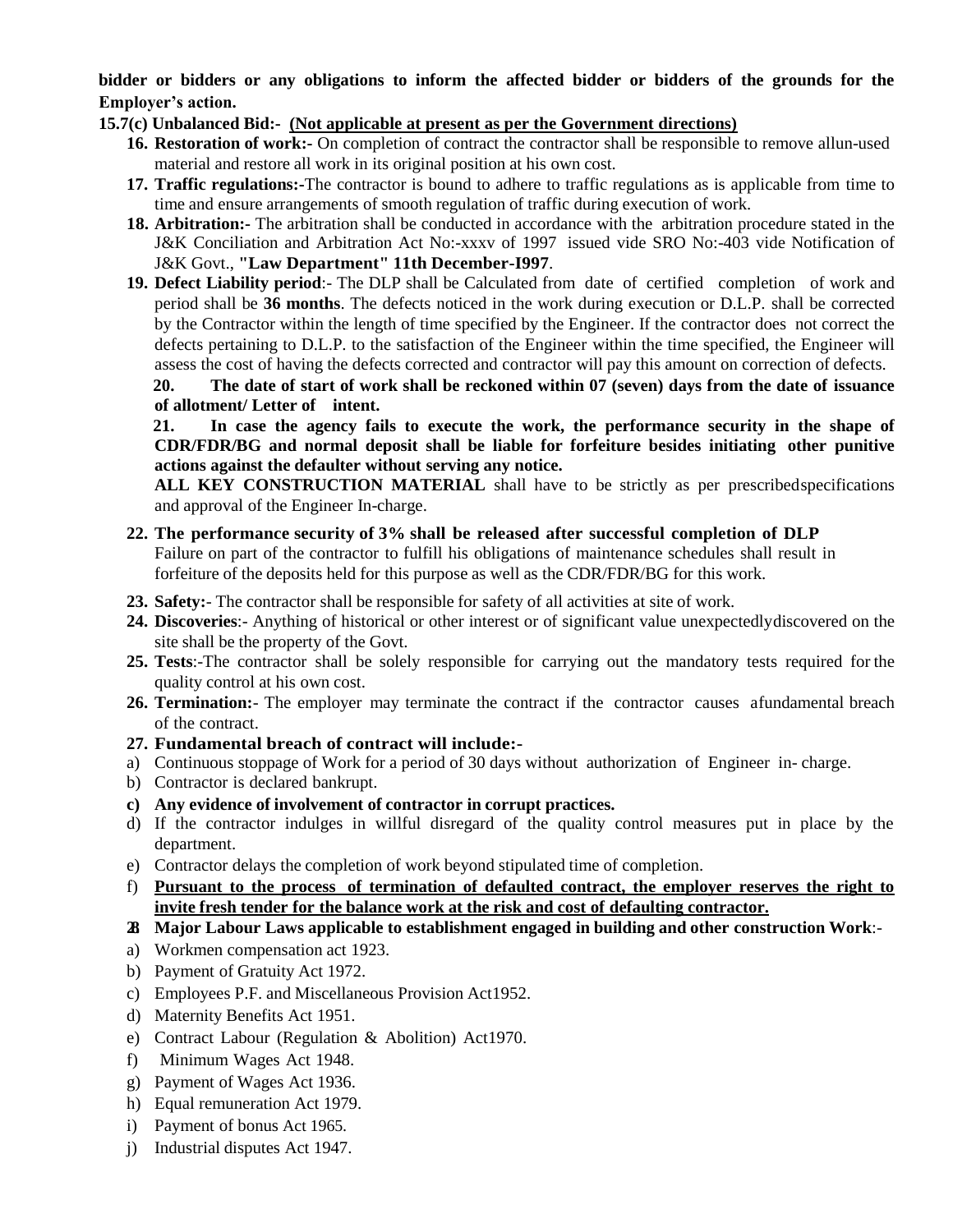**bidder or bidders or any obligations to inform the affected bidder or bidders of the grounds for the Employer's action.**

### **15.7(c) Unbalanced Bid:- (Not applicable at present as per the Government directions)**

- **16. Restoration of work:-** On completion of contract the contractor shall be responsible to remove allun-used material and restore all work in its original position at his own cost.
- **17. Traffic regulations:-**The contractor is bound to adhere to traffic regulations as is applicable from time to time and ensure arrangements of smooth regulation of traffic during execution of work.
- **18. Arbitration:-** The arbitration shall be conducted in accordance with the arbitration procedure stated in the J&K Conciliation and Arbitration Act No:-xxxv of 1997 issued vide SRO No:-403 vide Notification of J&K Govt., **"Law Department" 11th December-I997**.

**19. Defect Liability period**:- The DLP shall be Calculated from date of certified completion of work and period shall be **36 months**. The defects noticed in the work during execution or D.L.P. shall be corrected by the Contractor within the length of time specified by the Engineer. If the contractor does not correct the defects pertaining to D.L.P. to the satisfaction of the Engineer within the time specified, the Engineer will assess the cost of having the defects corrected and contractor will pay this amount on correction of defects.

**20. The date of start of work shall be reckoned within 07 (seven) days from the date of issuance of allotment/ Letter of intent.** 

**21. In case the agency fails to execute the work, the performance security in the shape of CDR/FDR/BG and normal deposit shall be liable for forfeiture besides initiating other punitive actions against the defaulter without serving any notice.**

**ALL KEY CONSTRUCTION MATERIAL** shall have to be strictly as per prescribedspecifications and approval of the Engineer In-charge.

#### **22. The performance security of 3% shall be released after successful completion of DLP** Failure on part of the contractor to fulfill his obligations of maintenance schedules shall result in forfeiture of the deposits held for this purpose as well as the CDR/FDR/BG for this work.

**23. Safety:**- The contractor shall be responsible for safety of all activities at site of work.

- **24. Discoveries**:- Anything of historical or other interest or of significant value unexpectedlydiscovered on the site shall be the property of the Govt.
- **25. Tests**:-The contractor shall be solely responsible for carrying out the mandatory tests required for the quality control at his own cost.
- **26. Termination:** The employer may terminate the contract if the contractor causes afundamental breach of the contract.
- **27. Fundamental breach of contract will include:-**
- a) Continuous stoppage of Work for a period of 30 days without authorization of Engineer in- charge.
- b) Contractor is declared bankrupt.
- **c) Any evidence of involvement of contractor in corrupt practices.**
- d) If the contractor indulges in willful disregard of the quality control measures put in place by the department.
- e) Contractor delays the completion of work beyond stipulated time of completion.
- f) **Pursuant to the process of termination of defaulted contract, the employer reserves the right to invite fresh tender for the balance work at the risk and cost of defaulting contractor.**
- **28. Major Labour Laws applicable to establishment engaged in building and other construction Work**:-
- a) Workmen compensation act 1923.
- b) Payment of Gratuity Act 1972.
- c) Employees P.F. and Miscellaneous Provision Act1952.
- d) Maternity Benefits Act 1951.
- e) Contract Labour (Regulation & Abolition) Act1970.
- f) Minimum Wages Act 1948.
- g) Payment of Wages Act 1936.
- h) Equal remuneration Act 1979.
- i) Payment of bonus Act 1965.
- j) Industrial disputes Act 1947.